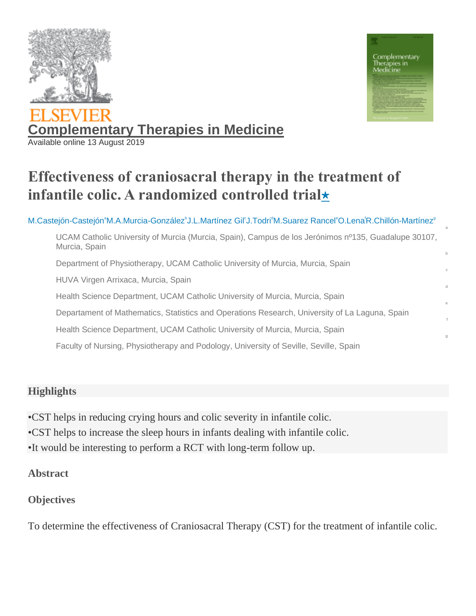



a

d

e

g

# **[Complementary Therapies in Medicine](https://www.sciencedirect.com/science/journal/09652299)** Available online 13 August 2019

## **Effectiveness of craniosacral therapy in the treatment of infantile colic. A randomized controlled trial**★

[M.Castejón-Castejón](https://www.sciencedirect.com/science/article/abs/pii/S0965229918309452?via%3Dihub#!)°[M.A.Murcia-González](https://www.sciencedirect.com/science/article/abs/pii/S0965229918309452?via%3Dihub#!)<sup>6</sup>[J.L.Martínez Gil](https://www.sciencedirect.com/science/article/abs/pii/S0965229918309452?via%3Dihub#!)°[J.Todri](https://www.sciencedirect.com/science/article/abs/pii/S0965229918309452?via%3Dihub#!)<sup>d</sup>[M.Suarez Rancel](https://www.sciencedirect.com/science/article/abs/pii/S0965229918309452?via%3Dihub#!)°[O.Lena](https://www.sciencedirect.com/science/article/abs/pii/S0965229918309452?via%3Dihub#!)<sup>f</sup>[R.Chillón-Martínez](https://www.sciencedirect.com/science/article/abs/pii/S0965229918309452?via%3Dihub#!)<sup>9</sup> UCAM Catholic University of Murcia (Murcia, Spain), Campus de los Jerónimos nº135, Guadalupe 30107, Murcia, Spain b Department of Physiotherapy, UCAM Catholic University of Murcia, Murcia, Spain HUVA Virgen Arrixaca, Murcia, Spain Health Science Department, UCAM Catholic University of Murcia, Murcia, Spain Departament of Mathematics, Statistics and Operations Research, University of La Laguna, Spain Health Science Department, UCAM Catholic University of Murcia, Murcia, Spain Faculty of Nursing, Physiotherapy and Podology, University of Seville, Seville, Spain

#### **Highlights**

•CST helps in reducing crying hours and colic severity in infantile colic. •CST helps to increase the sleep hours in infants dealing with infantile colic. •It would be interesting to perform a RCT with long-term follow up.

#### **Abstract**

#### **Objectives**

To determine the effectiveness of Craniosacral Therapy (CST) for the treatment of infantile colic.